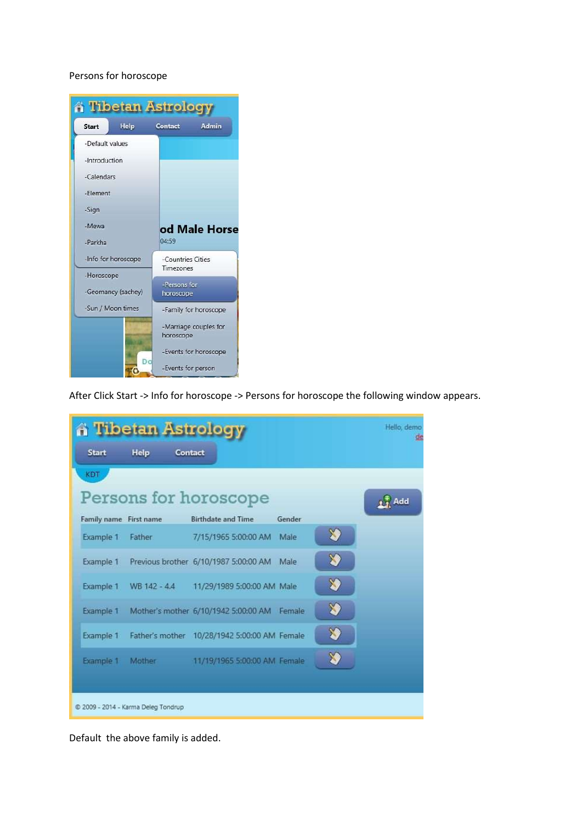## Persons for horoscope



After Click Start -> Info for horoscope -> Persons for horoscope the following window appears.

| <b>A Tibetan Astrology</b>          |               |                                              |               |    | Hello, demo       |
|-------------------------------------|---------------|----------------------------------------------|---------------|----|-------------------|
| <b>Start</b>                        | Help          | Contact                                      |               |    |                   |
| <b>KDT</b>                          |               |                                              |               |    |                   |
| Persons for horoscope               |               |                                              |               |    | $\frac{1}{2}$ Add |
| Family name First name              |               | <b>Birthdate and Time</b>                    | <b>Gender</b> |    |                   |
| Example 1                           | Father        | 7/15/1965 5:00:00 AM                         | Male          | XI |                   |
| Example 1                           |               | Previous brother 6/10/1987 5:00:00 AM        | Male          | X) |                   |
| Example 1                           | WB 142 - 4.4  | 11/29/1989 5:00:00 AM Male                   |               | ≫  |                   |
| Example 1                           |               | Mother's mother 6/10/1942 5:00:00 AM Female  |               | X) |                   |
| Example 1                           |               | Father's mother 10/28/1942 5:00:00 AM Female |               | X) |                   |
| Example 1                           | <b>Mother</b> | 11/19/1965 5:00:00 AM Female                 |               | X) |                   |
|                                     |               |                                              |               |    |                   |
| C 2009 - 2014 - Karma Deleg Tondrup |               |                                              |               |    |                   |

Default the above family is added.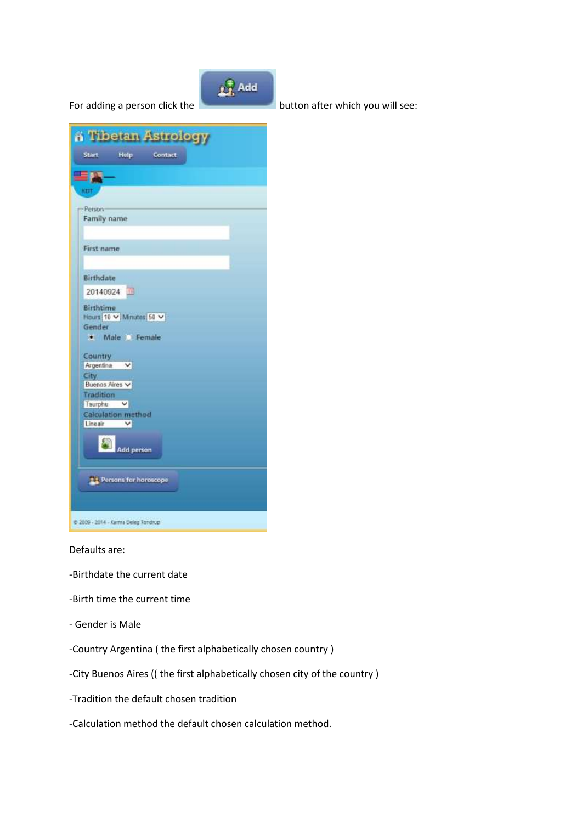

Defaults are:

- -Birthdate the current date
- -Birth time the current time
- Gender is Male
- -Country Argentina ( the first alphabetically chosen country )
- -City Buenos Aires (( the first alphabetically chosen city of the country )
- -Tradition the default chosen tradition
- -Calculation method the default chosen calculation method.